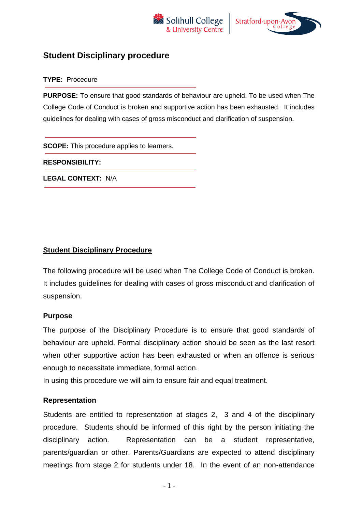



## **Student Disciplinary procedure**

**TYPE:** Procedure

**PURPOSE:** To ensure that good standards of behaviour are upheld. To be used when The College Code of Conduct is broken and supportive action has been exhausted. It includes guidelines for dealing with cases of gross misconduct and clarification of suspension.

**SCOPE:** This procedure applies to learners.

**RESPONSIBILITY:** 

**LEGAL CONTEXT:** N/A

### **Student Disciplinary Procedure**

The following procedure will be used when The College Code of Conduct is broken. It includes guidelines for dealing with cases of gross misconduct and clarification of suspension.

### **Purpose**

The purpose of the Disciplinary Procedure is to ensure that good standards of behaviour are upheld. Formal disciplinary action should be seen as the last resort when other supportive action has been exhausted or when an offence is serious enough to necessitate immediate, formal action.

In using this procedure we will aim to ensure fair and equal treatment.

### **Representation**

Students are entitled to representation at stages 2, 3 and 4 of the disciplinary procedure. Students should be informed of this right by the person initiating the disciplinary action. Representation can be a student representative, parents/guardian or other. Parents/Guardians are expected to attend disciplinary meetings from stage 2 for students under 18. In the event of an non-attendance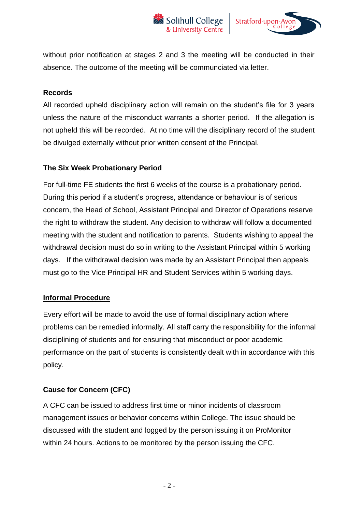



without prior notification at stages 2 and 3 the meeting will be conducted in their absence. The outcome of the meeting will be communciated via letter.

### **Records**

All recorded upheld disciplinary action will remain on the student's file for 3 years unless the nature of the misconduct warrants a shorter period. If the allegation is not upheld this will be recorded. At no time will the disciplinary record of the student be divulged externally without prior written consent of the Principal.

### **The Six Week Probationary Period**

For full-time FE students the first 6 weeks of the course is a probationary period. During this period if a student's progress, attendance or behaviour is of serious concern, the Head of School, Assistant Principal and Director of Operations reserve the right to withdraw the student. Any decision to withdraw will follow a documented meeting with the student and notification to parents. Students wishing to appeal the withdrawal decision must do so in writing to the Assistant Principal within 5 working days. If the withdrawal decision was made by an Assistant Principal then appeals must go to the Vice Principal HR and Student Services within 5 working days.

### **Informal Procedure**

Every effort will be made to avoid the use of formal disciplinary action where problems can be remedied informally. All staff carry the responsibility for the informal disciplining of students and for ensuring that misconduct or poor academic performance on the part of students is consistently dealt with in accordance with this policy.

### **Cause for Concern (CFC)**

A CFC can be issued to address first time or minor incidents of classroom management issues or behavior concerns within College. The issue should be discussed with the student and logged by the person issuing it on ProMonitor within 24 hours. Actions to be monitored by the person issuing the CFC.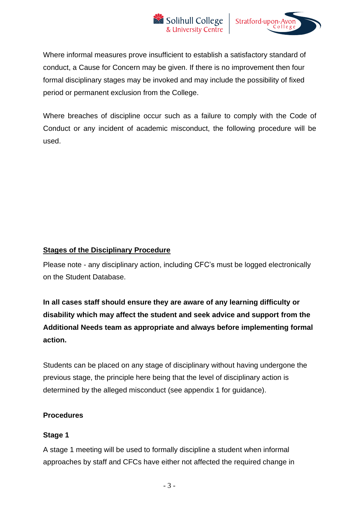



Where informal measures prove insufficient to establish a satisfactory standard of conduct, a Cause for Concern may be given. If there is no improvement then four formal disciplinary stages may be invoked and may include the possibility of fixed period or permanent exclusion from the College.

Where breaches of discipline occur such as a failure to comply with the Code of Conduct or any incident of academic misconduct, the following procedure will be used.

### **Stages of the Disciplinary Procedure**

Please note - any disciplinary action, including CFC's must be logged electronically on the Student Database.

**In all cases staff should ensure they are aware of any learning difficulty or disability which may affect the student and seek advice and support from the Additional Needs team as appropriate and always before implementing formal action.**

Students can be placed on any stage of disciplinary without having undergone the previous stage, the principle here being that the level of disciplinary action is determined by the alleged misconduct (see appendix 1 for guidance).

### **Procedures**

### **Stage 1**

A stage 1 meeting will be used to formally discipline a student when informal approaches by staff and CFCs have either not affected the required change in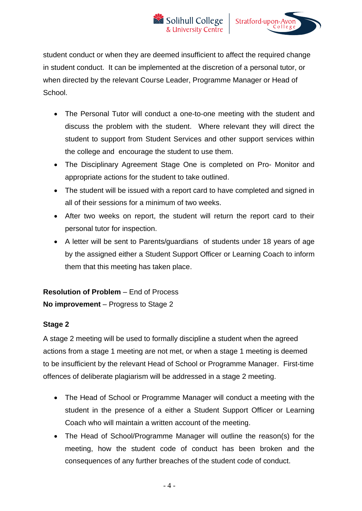

student conduct or when they are deemed insufficient to affect the required change in student conduct. It can be implemented at the discretion of a personal tutor, or when directed by the relevant Course Leader, Programme Manager or Head of School.

- The Personal Tutor will conduct a one-to-one meeting with the student and discuss the problem with the student. Where relevant they will direct the student to support from Student Services and other support services within the college and encourage the student to use them.
- The Disciplinary Agreement Stage One is completed on Pro- Monitor and appropriate actions for the student to take outlined.
- The student will be issued with a report card to have completed and signed in all of their sessions for a minimum of two weeks.
- After two weeks on report, the student will return the report card to their personal tutor for inspection.
- A letter will be sent to Parents/guardians of students under 18 years of age by the assigned either a Student Support Officer or Learning Coach to inform them that this meeting has taken place.

**Resolution of Problem** – End of Process **No improvement** – Progress to Stage 2

### **Stage 2**

A stage 2 meeting will be used to formally discipline a student when the agreed actions from a stage 1 meeting are not met, or when a stage 1 meeting is deemed to be insufficient by the relevant Head of School or Programme Manager. First-time offences of deliberate plagiarism will be addressed in a stage 2 meeting.

- The Head of School or Programme Manager will conduct a meeting with the student in the presence of a either a Student Support Officer or Learning Coach who will maintain a written account of the meeting.
- The Head of School/Programme Manager will outline the reason(s) for the meeting, how the student code of conduct has been broken and the consequences of any further breaches of the student code of conduct.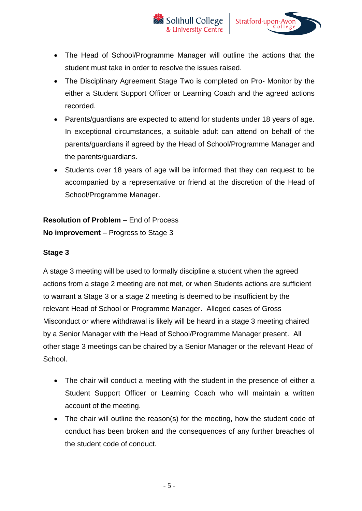



- The Head of School/Programme Manager will outline the actions that the student must take in order to resolve the issues raised.
- The Disciplinary Agreement Stage Two is completed on Pro- Monitor by the either a Student Support Officer or Learning Coach and the agreed actions recorded.
- Parents/guardians are expected to attend for students under 18 years of age. In exceptional circumstances, a suitable adult can attend on behalf of the parents/guardians if agreed by the Head of School/Programme Manager and the parents/guardians.
- Students over 18 years of age will be informed that they can request to be accompanied by a representative or friend at the discretion of the Head of School/Programme Manager.

# **Resolution of Problem** – End of Process **No improvement** – Progress to Stage 3

### **Stage 3**

A stage 3 meeting will be used to formally discipline a student when the agreed actions from a stage 2 meeting are not met, or when Students actions are sufficient to warrant a Stage 3 or a stage 2 meeting is deemed to be insufficient by the relevant Head of School or Programme Manager. Alleged cases of Gross Misconduct or where withdrawal is likely will be heard in a stage 3 meeting chaired by a Senior Manager with the Head of School/Programme Manager present. All other stage 3 meetings can be chaired by a Senior Manager or the relevant Head of School.

- The chair will conduct a meeting with the student in the presence of either a Student Support Officer or Learning Coach who will maintain a written account of the meeting.
- The chair will outline the reason(s) for the meeting, how the student code of conduct has been broken and the consequences of any further breaches of the student code of conduct.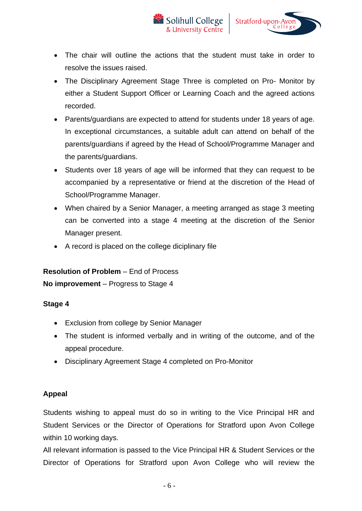



- The chair will outline the actions that the student must take in order to resolve the issues raised.
- The Disciplinary Agreement Stage Three is completed on Pro- Monitor by either a Student Support Officer or Learning Coach and the agreed actions recorded.
- Parents/guardians are expected to attend for students under 18 years of age. In exceptional circumstances, a suitable adult can attend on behalf of the parents/guardians if agreed by the Head of School/Programme Manager and the parents/guardians.
- Students over 18 years of age will be informed that they can request to be accompanied by a representative or friend at the discretion of the Head of School/Programme Manager.
- When chaired by a Senior Manager, a meeting arranged as stage 3 meeting can be converted into a stage 4 meeting at the discretion of the Senior Manager present.
- A record is placed on the college diciplinary file

# **Resolution of Problem** – End of Process **No improvement** – Progress to Stage 4

# **Stage 4**

- Exclusion from college by Senior Manager
- The student is informed verbally and in writing of the outcome, and of the appeal procedure.
- Disciplinary Agreement Stage 4 completed on Pro-Monitor

### **Appeal**

Students wishing to appeal must do so in writing to the Vice Principal HR and Student Services or the Director of Operations for Stratford upon Avon College within 10 working days.

All relevant information is passed to the Vice Principal HR & Student Services or the Director of Operations for Stratford upon Avon College who will review the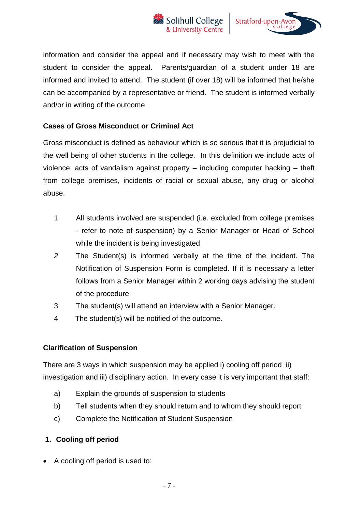



information and consider the appeal and if necessary may wish to meet with the student to consider the appeal. Parents/guardian of a student under 18 are informed and invited to attend. The student (if over 18) will be informed that he/she can be accompanied by a representative or friend. The student is informed verbally and/or in writing of the outcome

### **Cases of Gross Misconduct or Criminal Act**

Gross misconduct is defined as behaviour which is so serious that it is prejudicial to the well being of other students in the college. In this definition we include acts of violence, acts of vandalism against property – including computer hacking – theft from college premises, incidents of racial or sexual abuse, any drug or alcohol abuse.

- 1 All students involved are suspended (i.e. excluded from college premises - refer to note of suspension) by a Senior Manager or Head of School while the incident is being investigated
- *2* The Student(s) is informed verbally at the time of the incident. The Notification of Suspension Form is completed. If it is necessary a letter follows from a Senior Manager within 2 working days advising the student of the procedure
- 3 The student(s) will attend an interview with a Senior Manager.
- 4 The student(s) will be notified of the outcome.

### **Clarification of Suspension**

There are 3 ways in which suspension may be applied i) cooling off period ii) investigation and iii) disciplinary action. In every case it is very important that staff:

- a) Explain the grounds of suspension to students
- b) Tell students when they should return and to whom they should report
- c) Complete the Notification of Student Suspension

### **1. Cooling off period**

• A cooling off period is used to: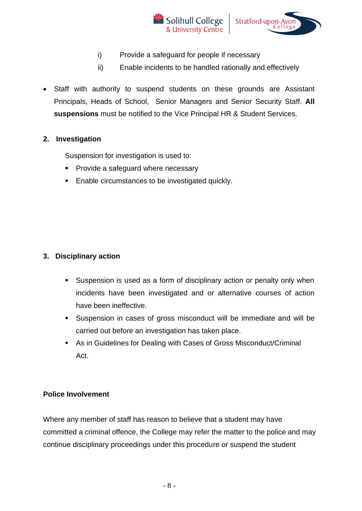



- i) Provide a safeguard for people if necessary
- ii) Enable incidents to be handled rationally and effectively
- Staff with authority to suspend students on these grounds are Assistant Principals, Heads of School, Senior Managers and Senior Security Staff. **All suspensions** must be notified to the Vice Principal HR & Student Services.

### **2. Investigation**

Suspension for investigation is used to:

- Provide a safeguard where necessary
- Enable circumstances to be investigated quickly.

### **3. Disciplinary action**

- Suspension is used as a form of disciplinary action or penalty only when incidents have been investigated and or alternative courses of action have been ineffective.
- Suspension in cases of gross misconduct will be immediate and will be carried out before an investigation has taken place.
- As in Guidelines for Dealing with Cases of Gross Misconduct/Criminal Act.

### **Police Involvement**

Where any member of staff has reason to believe that a student may have committed a criminal offence, the College may refer the matter to the police and may continue disciplinary proceedings under this procedure or suspend the student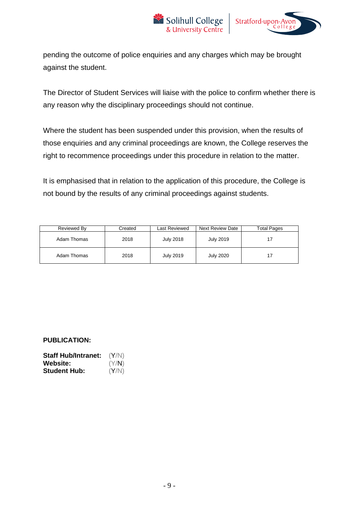



pending the outcome of police enquiries and any charges which may be brought against the student.

The Director of Student Services will liaise with the police to confirm whether there is any reason why the disciplinary proceedings should not continue.

Where the student has been suspended under this provision, when the results of those enquiries and any criminal proceedings are known, the College reserves the right to recommence proceedings under this procedure in relation to the matter.

It is emphasised that in relation to the application of this procedure, the College is not bound by the results of any criminal proceedings against students.

| Reviewed By | Created | Last Reviewed    | <b>Next Review Date</b> | <b>Total Pages</b> |
|-------------|---------|------------------|-------------------------|--------------------|
| Adam Thomas | 2018    | <b>July 2018</b> | July 2019               | 17                 |
| Adam Thomas | 2018    | July 2019        | <b>July 2020</b>        | 17                 |

#### **PUBLICATION:**

| <b>Staff Hub/Intranet:</b> | (Y/N) |
|----------------------------|-------|
| <b>Website:</b>            | (Y/N) |
| <b>Student Hub:</b>        | (Y/N) |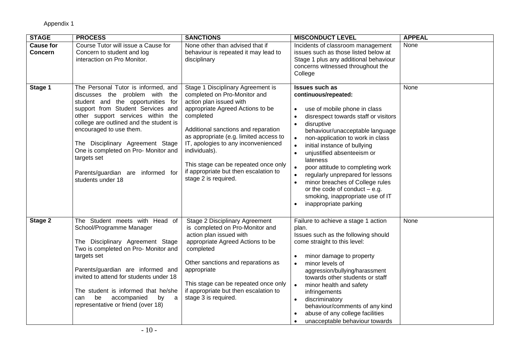| <b>STAGE</b>                       | <b>PROCESS</b>                                                                                                                                                                                                                                                                                                                                                                                                  | <b>SANCTIONS</b>                                                                                                                                                                                                                                                                                                                                                                                | <b>MISCONDUCT LEVEL</b>                                                                                                                                                                                                                                                                                                                                                                                                                                                                                                                             | <b>APPEAL</b> |
|------------------------------------|-----------------------------------------------------------------------------------------------------------------------------------------------------------------------------------------------------------------------------------------------------------------------------------------------------------------------------------------------------------------------------------------------------------------|-------------------------------------------------------------------------------------------------------------------------------------------------------------------------------------------------------------------------------------------------------------------------------------------------------------------------------------------------------------------------------------------------|-----------------------------------------------------------------------------------------------------------------------------------------------------------------------------------------------------------------------------------------------------------------------------------------------------------------------------------------------------------------------------------------------------------------------------------------------------------------------------------------------------------------------------------------------------|---------------|
| <b>Cause for</b><br><b>Concern</b> | Course Tutor will issue a Cause for<br>Concern to student and log<br>interaction on Pro Monitor.                                                                                                                                                                                                                                                                                                                | None other than advised that if<br>behaviour is repeated it may lead to<br>disciplinary                                                                                                                                                                                                                                                                                                         | Incidents of classroom management<br>issues such as those listed below at<br>Stage 1 plus any additional behaviour<br>concerns witnessed throughout the<br>College                                                                                                                                                                                                                                                                                                                                                                                  | None          |
| Stage 1                            | The Personal Tutor is informed, and<br>discusses the problem with the<br>student and the opportunities for<br>support from Student Services and<br>other support services within the<br>college are outlined and the student is<br>encouraged to use them.<br>The Disciplinary Agreement Stage<br>One is completed on Pro- Monitor and<br>targets set<br>Parents/guardian are informed for<br>students under 18 | Stage 1 Disciplinary Agreement is<br>completed on Pro-Monitor and<br>action plan issued with<br>appropriate Agreed Actions to be<br>completed<br>Additional sanctions and reparation<br>as appropriate (e.g. limited access to<br>IT, apologies to any inconvenienced<br>individuals).<br>This stage can be repeated once only<br>if appropriate but then escalation to<br>stage 2 is required. | <b>Issues such as</b><br>continuous/repeated:<br>use of mobile phone in class<br>disrespect towards staff or visitors<br>disruptive<br>$\bullet$<br>behaviour/unacceptable language<br>non-application to work in class<br>$\bullet$<br>initial instance of bullying<br>unjustified absenteeism or<br>$\bullet$<br>lateness<br>poor attitude to completing work<br>regularly unprepared for lessons<br>minor breaches of College rules<br>$\bullet$<br>or the code of conduct $-$ e.g.<br>smoking, inappropriate use of IT<br>inappropriate parking | None          |
| Stage 2                            | The Student meets with Head of<br>School/Programme Manager<br>The Disciplinary Agreement Stage<br>Two is completed on Pro- Monitor and<br>targets set<br>Parents/guardian are informed and<br>invited to attend for students under 18<br>The student is informed that he/she<br>accompanied<br>be<br>by<br>can<br>a<br>representative or friend (over 18)                                                       | Stage 2 Disciplinary Agreement<br>is completed on Pro-Monitor and<br>action plan issued with<br>appropriate Agreed Actions to be<br>completed<br>Other sanctions and reparations as<br>appropriate<br>This stage can be repeated once only<br>if appropriate but then escalation to<br>stage 3 is required.                                                                                     | Failure to achieve a stage 1 action<br>plan.<br>Issues such as the following should<br>come straight to this level:<br>minor damage to property<br>minor levels of<br>$\bullet$<br>aggression/bullying/harassment<br>towards other students or staff<br>$\bullet$<br>minor health and safety<br>infringements<br>discriminatory<br>$\bullet$<br>behaviour/comments of any kind<br>abuse of any college facilities<br>unacceptable behaviour towards<br>$\bullet$                                                                                    | None          |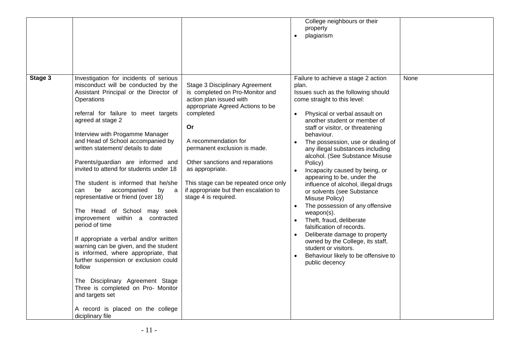|                                                                                                                                                                                                                                                                                                                                                                                                                                                                                                                                                                                                                                                                                                                                                                                                                                                                                                                                                    |                                                                                                                                                                                                                                                                                                                                                                                          | College neighbours or their<br>property<br>plagiarism<br>$\bullet$                                                                                                                                                                                                                                                                                                                                                                                                                                                                                                                                                                                                                                                                                                                               |      |
|----------------------------------------------------------------------------------------------------------------------------------------------------------------------------------------------------------------------------------------------------------------------------------------------------------------------------------------------------------------------------------------------------------------------------------------------------------------------------------------------------------------------------------------------------------------------------------------------------------------------------------------------------------------------------------------------------------------------------------------------------------------------------------------------------------------------------------------------------------------------------------------------------------------------------------------------------|------------------------------------------------------------------------------------------------------------------------------------------------------------------------------------------------------------------------------------------------------------------------------------------------------------------------------------------------------------------------------------------|--------------------------------------------------------------------------------------------------------------------------------------------------------------------------------------------------------------------------------------------------------------------------------------------------------------------------------------------------------------------------------------------------------------------------------------------------------------------------------------------------------------------------------------------------------------------------------------------------------------------------------------------------------------------------------------------------------------------------------------------------------------------------------------------------|------|
| Stage 3<br>Investigation for incidents of serious<br>misconduct will be conducted by the<br>Assistant Principal or the Director of<br>Operations<br>referral for failure to meet targets<br>agreed at stage 2<br>Interview with Progamme Manager<br>and Head of School accompanied by<br>written statement/ details to date<br>Parents/guardian are informed and<br>invited to attend for students under 18<br>The student is informed that he/she<br>be<br>accompanied<br>can<br>by<br>representative or friend (over 18)<br>The Head of School may seek<br>improvement within a contracted<br>period of time<br>If appropriate a verbal and/or written<br>warning can be given, and the student<br>is informed, where appropriate, that<br>further suspension or exclusion could<br>follow<br>The Disciplinary Agreement Stage<br>Three is completed on Pro- Monitor<br>and targets set<br>A record is placed on the college<br>diciplinary file | <b>Stage 3 Disciplinary Agreement</b><br>is completed on Pro-Monitor and<br>action plan issued with<br>appropriate Agreed Actions to be<br>completed<br>Or<br>A recommendation for<br>permanent exclusion is made.<br>Other sanctions and reparations<br>as appropriate.<br>This stage can be repeated once only<br>if appropriate but then escalation to<br>a a<br>stage 4 is required. | Failure to achieve a stage 2 action<br>plan.<br>Issues such as the following should<br>come straight to this level:<br>Physical or verbal assault on<br>another student or member of<br>staff or visitor, or threatening<br>behaviour.<br>The possession, use or dealing of<br>any illegal substances including<br>alcohol. (See Substance Misuse<br>Policy)<br>Incapacity caused by being, or<br>appearing to be, under the<br>influence of alcohol, illegal drugs<br>or solvents (see Substance<br>Misuse Policy)<br>The possession of any offensive<br>$\bullet$<br>weapon(s).<br>Theft, fraud, deliberate<br>falsification of records.<br>Deliberate damage to property<br>owned by the College, its staff,<br>student or visitors.<br>Behaviour likely to be offensive to<br>public decency | None |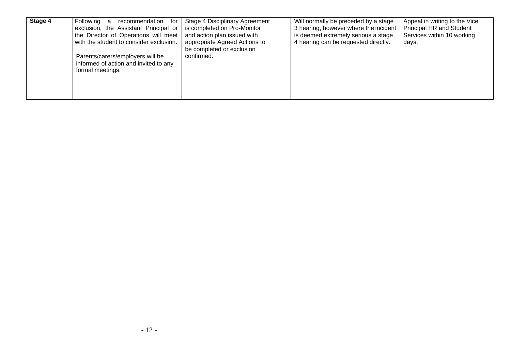| Stage 4 | Following<br>recommendation<br>for<br>a<br>exclusion, the Assistant Principal or<br>the Director of Operations will meet<br>with the student to consider exclusion.<br>Parents/carers/employers will be<br>informed of action and invited to any<br>formal meetings. | Stage 4 Disciplinary Agreement<br>is completed on Pro-Monitor<br>and action plan issued with<br>appropriate Agreed Actions to<br>be completed or exclusion<br>confirmed. | Will normally be preceded by a stage<br>3 hearing, however where the incident<br>is deemed extremely serious a stage<br>4 hearing can be requested directly. | Appeal in writing to the Vice<br><b>Principal HR and Student</b><br>Services within 10 working<br>days. |
|---------|----------------------------------------------------------------------------------------------------------------------------------------------------------------------------------------------------------------------------------------------------------------------|--------------------------------------------------------------------------------------------------------------------------------------------------------------------------|--------------------------------------------------------------------------------------------------------------------------------------------------------------|---------------------------------------------------------------------------------------------------------|
|---------|----------------------------------------------------------------------------------------------------------------------------------------------------------------------------------------------------------------------------------------------------------------------|--------------------------------------------------------------------------------------------------------------------------------------------------------------------------|--------------------------------------------------------------------------------------------------------------------------------------------------------------|---------------------------------------------------------------------------------------------------------|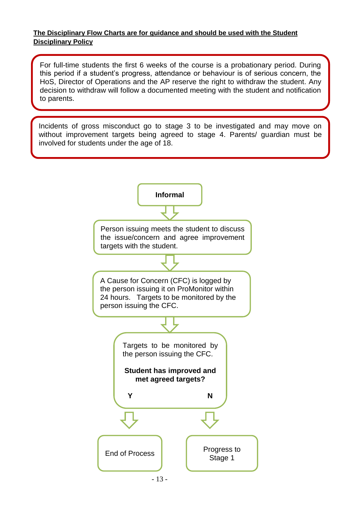### **The Disciplinary Flow Charts are for guidance and should be used with the Student Disciplinary Policy**

For full-time students the first 6 weeks of the course is a probationary period. During this period if a student's progress, attendance or behaviour is of serious concern, the HoS, Director of Operations and the AP reserve the right to withdraw the student. Any decision to withdraw will follow a documented meeting with the student and notification to parents.

Incidents of gross misconduct go to stage 3 to be investigated and may move on without improvement targets being agreed to stage 4. Parents/ guardian must be involved for students under the age of 18.

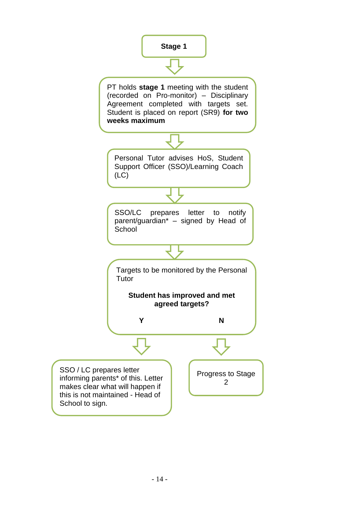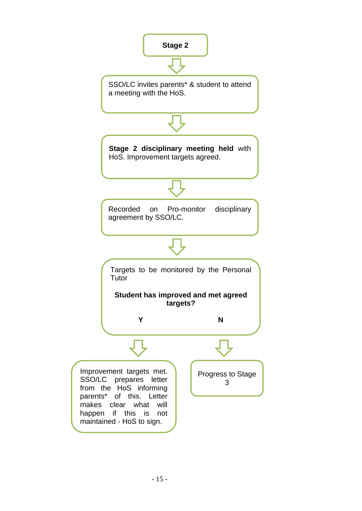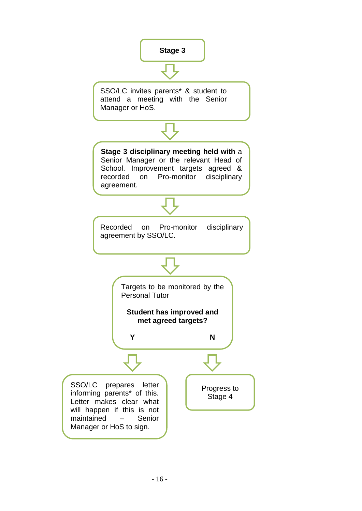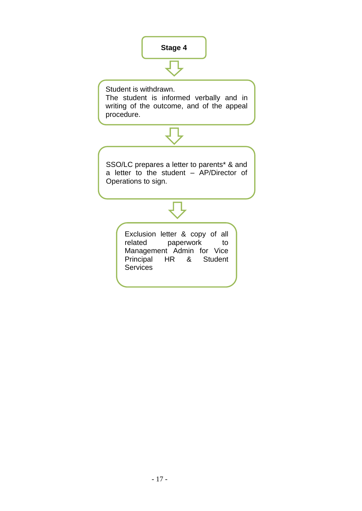